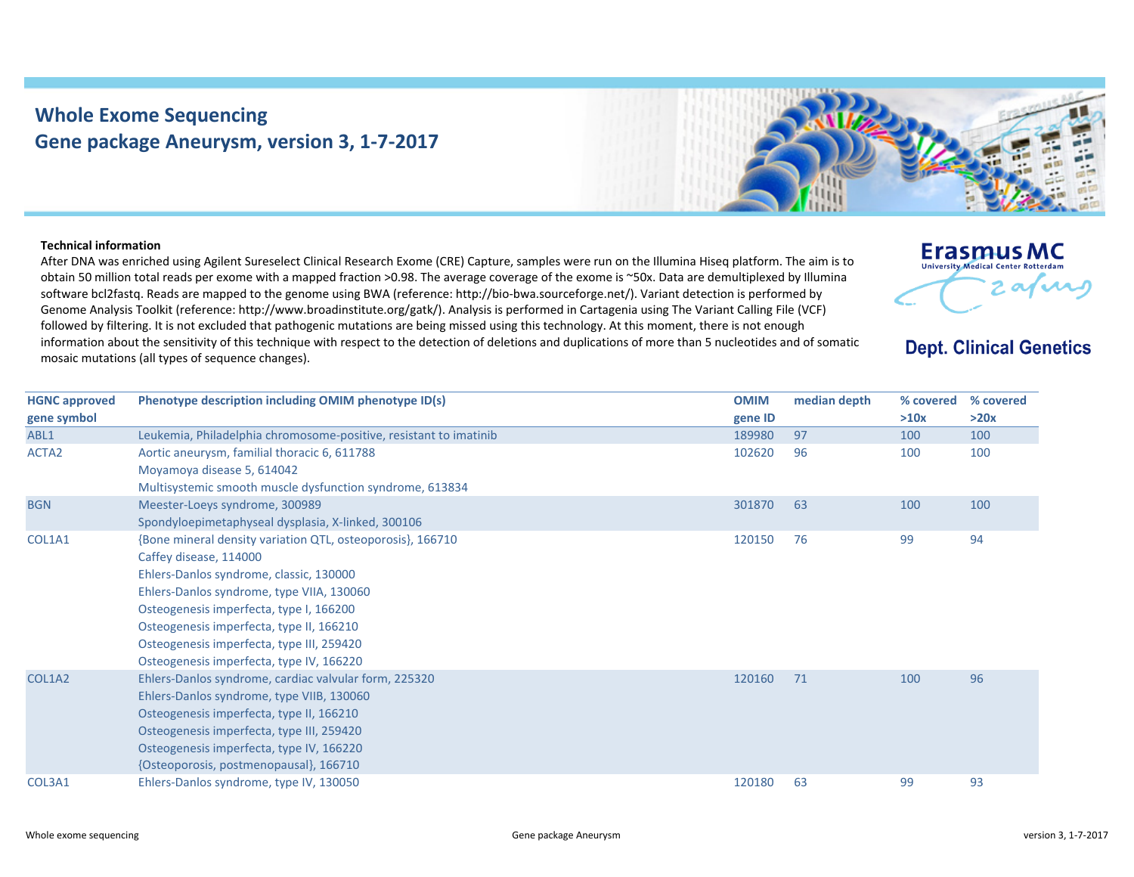## **Whole Exome Sequencing Gene package Aneurysm, version 3, 1‐7‐2017**



## **Technical information**

After DNA was enriched using Agilent Sureselect Clinical Research Exome (CRE) Capture, samples were run on the Illumina Hiseq platform. The aim is to obtain 50 million total reads per exome with <sup>a</sup> mapped fraction >0.98. The average coverage of the exome is ~50x. Data are demultiplexed by Illumina software bcl2fastq. Reads are mapped to the genome using BWA (reference: http://bio‐bwa.sourceforge.net/). Variant detection is performed by Genome Analysis Toolkit (reference: http://www.broadinstitute.org/gatk/). Analysis is performed in Cartagenia using The Variant Calling File (VCF) followed by filtering. It is not excluded that pathogenic mutations are being missed using this technology. At this moment, there is not enough information about the sensitivity of this technique with respect to the detection of deletions and duplications of more than 5 nucleotides and of somatic mosaic mutations (all types of sequence changes).



## **Dept. Clinical Genetics**

| <b>HGNC approved</b> | Phenotype description including OMIM phenotype ID(s)              | <b>OMIM</b> | median depth | % covered | % covered |
|----------------------|-------------------------------------------------------------------|-------------|--------------|-----------|-----------|
| gene symbol          |                                                                   | gene ID     |              | >10x      | >20x      |
| ABL1                 | Leukemia, Philadelphia chromosome-positive, resistant to imatinib | 189980      | 97           | 100       | 100       |
| ACTA <sub>2</sub>    | Aortic aneurysm, familial thoracic 6, 611788                      | 102620      | 96           | 100       | 100       |
|                      | Moyamoya disease 5, 614042                                        |             |              |           |           |
|                      | Multisystemic smooth muscle dysfunction syndrome, 613834          |             |              |           |           |
| <b>BGN</b>           | Meester-Loeys syndrome, 300989                                    | 301870      | 63           | 100       | 100       |
|                      | Spondyloepimetaphyseal dysplasia, X-linked, 300106                |             |              |           |           |
| COL1A1               | {Bone mineral density variation QTL, osteoporosis}, 166710        | 120150      | 76           | 99        | 94        |
|                      | Caffey disease, 114000                                            |             |              |           |           |
|                      | Ehlers-Danlos syndrome, classic, 130000                           |             |              |           |           |
|                      | Ehlers-Danlos syndrome, type VIIA, 130060                         |             |              |           |           |
|                      | Osteogenesis imperfecta, type I, 166200                           |             |              |           |           |
|                      | Osteogenesis imperfecta, type II, 166210                          |             |              |           |           |
|                      | Osteogenesis imperfecta, type III, 259420                         |             |              |           |           |
|                      | Osteogenesis imperfecta, type IV, 166220                          |             |              |           |           |
| COL1A2               | Ehlers-Danlos syndrome, cardiac valvular form, 225320             | 120160      | 71           | 100       | 96        |
|                      | Ehlers-Danlos syndrome, type VIIB, 130060                         |             |              |           |           |
|                      | Osteogenesis imperfecta, type II, 166210                          |             |              |           |           |
|                      | Osteogenesis imperfecta, type III, 259420                         |             |              |           |           |
|                      | Osteogenesis imperfecta, type IV, 166220                          |             |              |           |           |
|                      | {Osteoporosis, postmenopausal}, 166710                            |             |              |           |           |
| COL3A1               | Ehlers-Danlos syndrome, type IV, 130050                           | 120180      | 63           | 99        | 93        |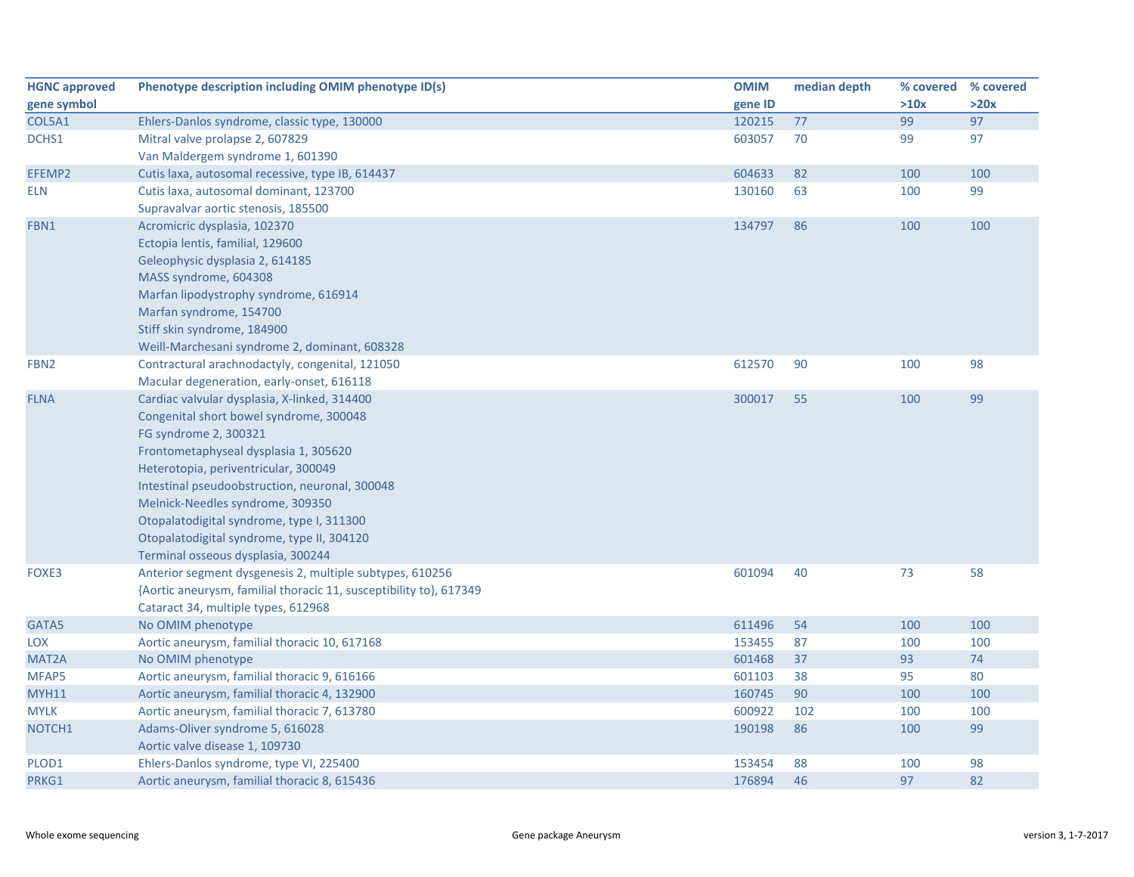| <b>HGNC approved</b> | Phenotype description including OMIM phenotype ID(s)               | <b>OMIM</b> | median depth | % covered % covered |      |
|----------------------|--------------------------------------------------------------------|-------------|--------------|---------------------|------|
| gene symbol          |                                                                    | gene ID     |              | >10x                | >20x |
| COL5A1               | Ehlers-Danlos syndrome, classic type, 130000                       | 120215      | 77           | 99                  | 97   |
| DCHS1                | Mitral valve prolapse 2, 607829                                    | 603057      | 70           | 99                  | 97   |
|                      | Van Maldergem syndrome 1, 601390                                   |             |              |                     |      |
| EFEMP2               | Cutis laxa, autosomal recessive, type IB, 614437                   | 604633      | 82           | 100                 | 100  |
| <b>ELN</b>           | Cutis laxa, autosomal dominant, 123700                             | 130160      | 63           | 100                 | 99   |
|                      | Supravalvar aortic stenosis, 185500                                |             |              |                     |      |
| FBN1                 | Acromicric dysplasia, 102370                                       | 134797      | 86           | 100                 | 100  |
|                      | Ectopia lentis, familial, 129600                                   |             |              |                     |      |
|                      | Geleophysic dysplasia 2, 614185                                    |             |              |                     |      |
|                      | MASS syndrome, 604308                                              |             |              |                     |      |
|                      | Marfan lipodystrophy syndrome, 616914                              |             |              |                     |      |
|                      | Marfan syndrome, 154700                                            |             |              |                     |      |
|                      | Stiff skin syndrome, 184900                                        |             |              |                     |      |
|                      | Weill-Marchesani syndrome 2, dominant, 608328                      |             |              |                     |      |
| FBN <sub>2</sub>     | Contractural arachnodactyly, congenital, 121050                    | 612570      | 90           | 100                 | 98   |
|                      | Macular degeneration, early-onset, 616118                          |             |              |                     |      |
| <b>FLNA</b>          | Cardiac valvular dysplasia, X-linked, 314400                       | 300017      | 55           | 100                 | 99   |
|                      | Congenital short bowel syndrome, 300048                            |             |              |                     |      |
|                      | FG syndrome 2, 300321                                              |             |              |                     |      |
|                      | Frontometaphyseal dysplasia 1, 305620                              |             |              |                     |      |
|                      | Heterotopia, periventricular, 300049                               |             |              |                     |      |
|                      | Intestinal pseudoobstruction, neuronal, 300048                     |             |              |                     |      |
|                      | Melnick-Needles syndrome, 309350                                   |             |              |                     |      |
|                      | Otopalatodigital syndrome, type I, 311300                          |             |              |                     |      |
|                      | Otopalatodigital syndrome, type II, 304120                         |             |              |                     |      |
|                      | Terminal osseous dysplasia, 300244                                 |             |              |                     |      |
| FOXE3                | Anterior segment dysgenesis 2, multiple subtypes, 610256           | 601094      | 40           | 73                  | 58   |
|                      | {Aortic aneurysm, familial thoracic 11, susceptibility to}, 617349 |             |              |                     |      |
|                      | Cataract 34, multiple types, 612968                                |             |              |                     |      |
| GATA5                | No OMIM phenotype                                                  | 611496      | 54           | 100                 | 100  |
| <b>LOX</b>           | Aortic aneurysm, familial thoracic 10, 617168                      | 153455      | 87           | 100                 | 100  |
| MAT <sub>2</sub> A   | No OMIM phenotype                                                  | 601468      | 37           | 93                  | 74   |
| MFAP5                | Aortic aneurysm, familial thoracic 9, 616166                       | 601103      | 38           | 95                  | 80   |
| MYH11                | Aortic aneurysm, familial thoracic 4, 132900                       | 160745      | 90           | 100                 | 100  |
| <b>MYLK</b>          | Aortic aneurysm, familial thoracic 7, 613780                       | 600922      | 102          | 100                 | 100  |
| NOTCH1               | Adams-Oliver syndrome 5, 616028                                    | 190198      | 86           | 100                 | 99   |
|                      | Aortic valve disease 1, 109730                                     |             |              |                     |      |
| PLOD1                | Ehlers-Danlos syndrome, type VI, 225400                            | 153454      | 88           | 100                 | 98   |
| PRKG1                | Aortic aneurysm, familial thoracic 8, 615436                       | 176894      | 46           | 97                  | 82   |